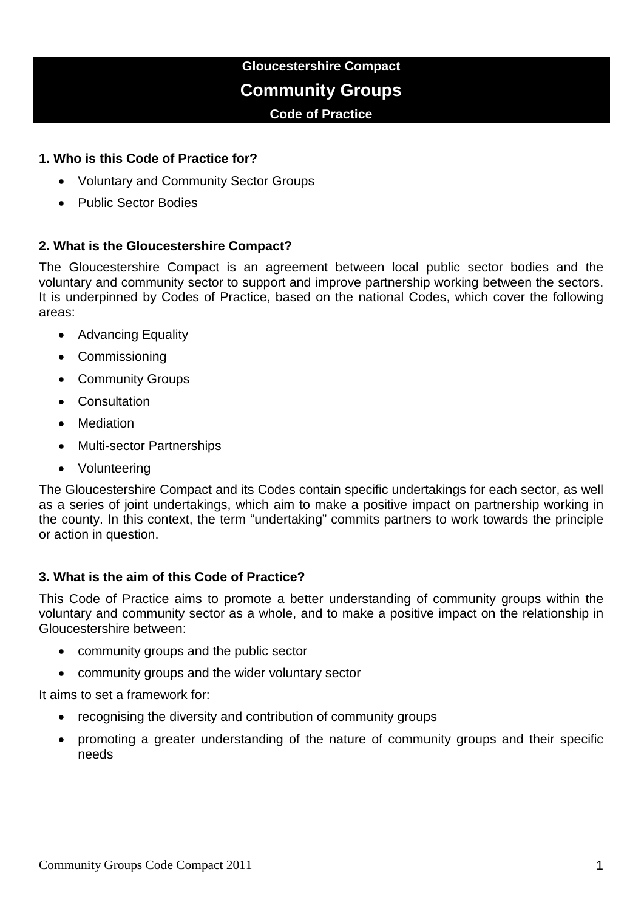# **Gloucestershire Compact Community Groups Code of Practice**

### **1. Who is this Code of Practice for?**

- Voluntary and Community Sector Groups
- Public Sector Bodies

## **2. What is the Gloucestershire Compact?**

The Gloucestershire Compact is an agreement between local public sector bodies and the voluntary and community sector to support and improve partnership working between the sectors. It is underpinned by Codes of Practice, based on the national Codes, which cover the following areas:

- Advancing Equality
- Commissioning
- Community Groups
- Consultation
- Mediation
- Multi-sector Partnerships
- Volunteering

The Gloucestershire Compact and its Codes contain specific undertakings for each sector, as well as a series of joint undertakings, which aim to make a positive impact on partnership working in the county. In this context, the term "undertaking" commits partners to work towards the principle or action in question.

# **3. What is the aim of this Code of Practice?**

This Code of Practice aims to promote a better understanding of community groups within the voluntary and community sector as a whole, and to make a positive impact on the relationship in Gloucestershire between:

- community groups and the public sector
- community groups and the wider voluntary sector

It aims to set a framework for:

- recognising the diversity and contribution of community groups
- promoting a greater understanding of the nature of community groups and their specific needs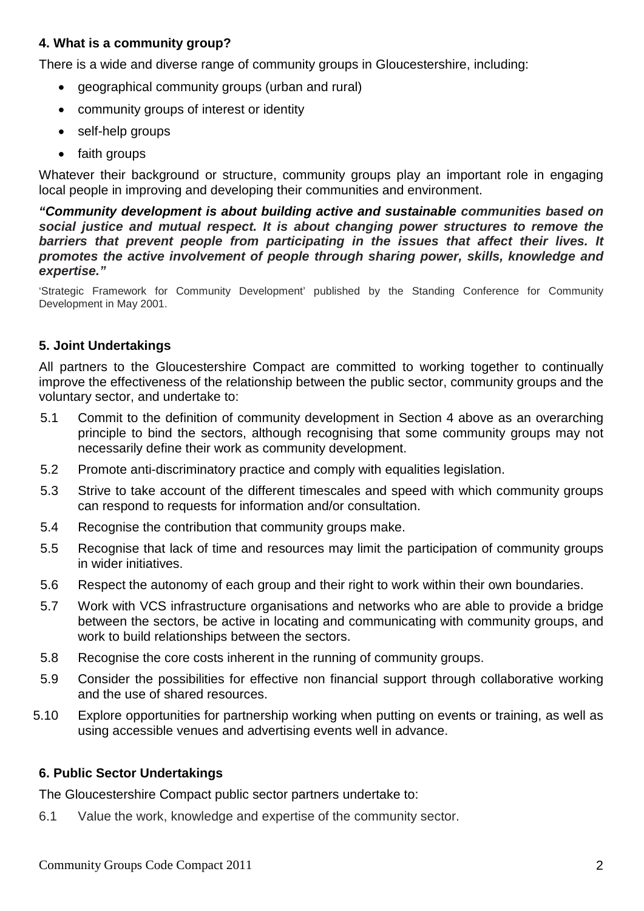## **4. What is a community group?**

There is a wide and diverse range of community groups in Gloucestershire, including:

- geographical community groups (urban and rural)
- community groups of interest or identity
- self-help groups
- faith groups

Whatever their background or structure, community groups play an important role in engaging local people in improving and developing their communities and environment.

*"Community development is about building active and sustainable communities based on social justice and mutual respect. It is about changing power structures to remove the barriers that prevent people from participating in the issues that affect their lives. It promotes the active involvement of people through sharing power, skills, knowledge and expertise."*

'Strategic Framework for Community Development' published by the Standing Conference for Community Development in May 2001.

# **5. Joint Undertakings**

All partners to the Gloucestershire Compact are committed to working together to continually improve the effectiveness of the relationship between the public sector, community groups and the voluntary sector, and undertake to:

- 5.1 Commit to the definition of community development in Section 4 above as an overarching principle to bind the sectors, although recognising that some community groups may not necessarily define their work as community development.
- 5.2 Promote anti-discriminatory practice and comply with equalities legislation.
- 5.3 Strive to take account of the different timescales and speed with which community groups can respond to requests for information and/or consultation.
- 5.4 Recognise the contribution that community groups make.
- 5.5 Recognise that lack of time and resources may limit the participation of community groups in wider initiatives.
- 5.6 Respect the autonomy of each group and their right to work within their own boundaries.
- 5.7 Work with VCS infrastructure organisations and networks who are able to provide a bridge between the sectors, be active in locating and communicating with community groups, and work to build relationships between the sectors.
- 5.8 Recognise the core costs inherent in the running of community groups.
- 5.9 Consider the possibilities for effective non financial support through collaborative working and the use of shared resources.
- 5.10 Explore opportunities for partnership working when putting on events or training, as well as using accessible venues and advertising events well in advance.

#### **6. Public Sector Undertakings**

The Gloucestershire Compact public sector partners undertake to:

6.1 Value the work, knowledge and expertise of the community sector.